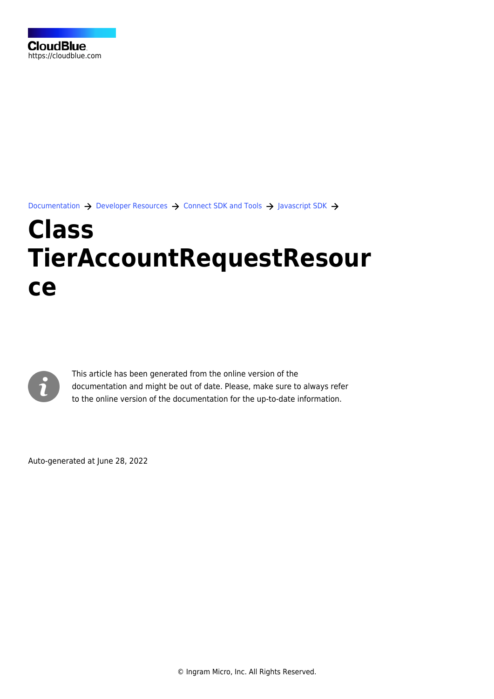[Documentation](https://connect.cloudblue.com/documentation)  $\rightarrow$  [Developer Resources](https://connect.cloudblue.com/community/developers/)  $\rightarrow$  [Connect SDK and Tools](https://connect.cloudblue.com/community/developers/sdk/)  $\rightarrow$  [Javascript SDK](https://connect.cloudblue.com/community/developers/sdk/javascript-sdk/)  $\rightarrow$ 

# **[Class](https://connect.cloudblue.com/community/developers/sdk/javascript-sdk/class-tieraccountrequestresource/) [TierAccountRequestResour](https://connect.cloudblue.com/community/developers/sdk/javascript-sdk/class-tieraccountrequestresource/) [ce](https://connect.cloudblue.com/community/developers/sdk/javascript-sdk/class-tieraccountrequestresource/)**



This article has been generated from the online version of the documentation and might be out of date. Please, make sure to always refer to the online version of the documentation for the up-to-date information.

Auto-generated at June 28, 2022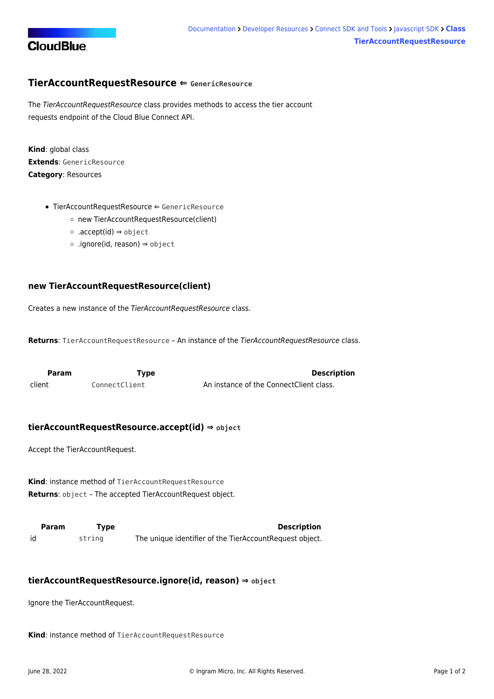

## <span id="page-1-0"></span>**TierAccountRequestResource ⇐ GenericResource**

The TierAccountRequestResource class provides methods to access the tier account requests endpoint of the Cloud Blue Connect API.

**Kind**: global class **Extends**: GenericResource **Category**: Resources

- [TierAccountRequestResource](#page-1-0) ⇐ GenericResource
	- [new TierAccountRequestResource\(client\)](#page-1-1)
	- [.accept\(id\)](#page-1-2) ⇒ object
	- [.ignore\(id, reason\)](#page-1-3) ⇒ object

### <span id="page-1-1"></span>**new TierAccountRequestResource(client)**

Creates a new instance of the TierAccountRequestResource class.

**Returns**: [TierAccountRequestResource](#page-1-0) – An instance of the TierAccountRequestResource class.

<span id="page-1-2"></span>

| Param  | Tvpe          | <b>Description</b>                      |
|--------|---------------|-----------------------------------------|
| client | ConnectClient | An instance of the ConnectClient class. |

#### **tierAccountRequestResource.accept(id) ⇒ object**

Accept the TierAccountRequest.

**Kind**: instance method of [TierAccountRequestResource](#page-1-0) **Returns**: object – The accepted TierAccountRequest object.

<span id="page-1-3"></span>**Param Type Description** id string The unique identifier of the TierAccountRequest object.

#### **tierAccountRequestResource.ignore(id, reason) ⇒ object**

Ignore the TierAccountRequest.

**Kind**: instance method of [TierAccountRequestResource](#page-1-0)